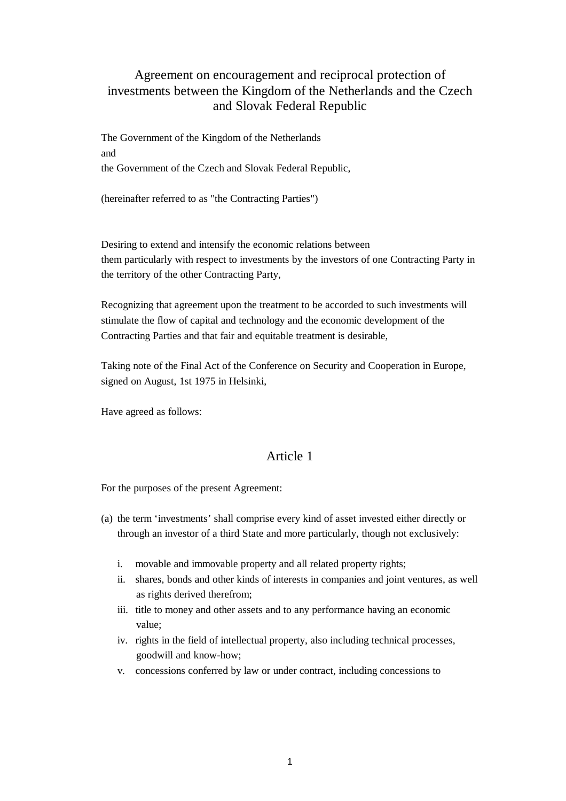# Agreement on encouragement and reciprocal protection of investments between the Kingdom of the Netherlands and the Czech and Slovak Federal Republic

The Government of the Kingdom of the Netherlands and the Government of the Czech and Slovak Federal Republic,

(hereinafter referred to as "the Contracting Parties")

Desiring to extend and intensify the economic relations between them particularly with respect to investments by the investors of one Contracting Party in the territory of the other Contracting Party,

Recognizing that agreement upon the treatment to be accorded to such investments will stimulate the flow of capital and technology and the economic development of the Contracting Parties and that fair and equitable treatment is desirable,

Taking note of the Final Act of the Conference on Security and Cooperation in Europe, signed on August, 1st 1975 in Helsinki,

Have agreed as follows:

## Article 1

For the purposes of the present Agreement:

- (a) the term 'investments' shall comprise every kind of asset invested either directly or through an investor of a third State and more particularly, though not exclusively:
	- i. movable and immovable property and all related property rights;
	- ii. shares, bonds and other kinds of interests in companies and joint ventures, as well as rights derived therefrom;
	- iii. title to money and other assets and to any performance having an economic value;
	- iv. rights in the field of intellectual property, also including technical processes, goodwill and know-how;
	- v. concessions conferred by law or under contract, including concessions to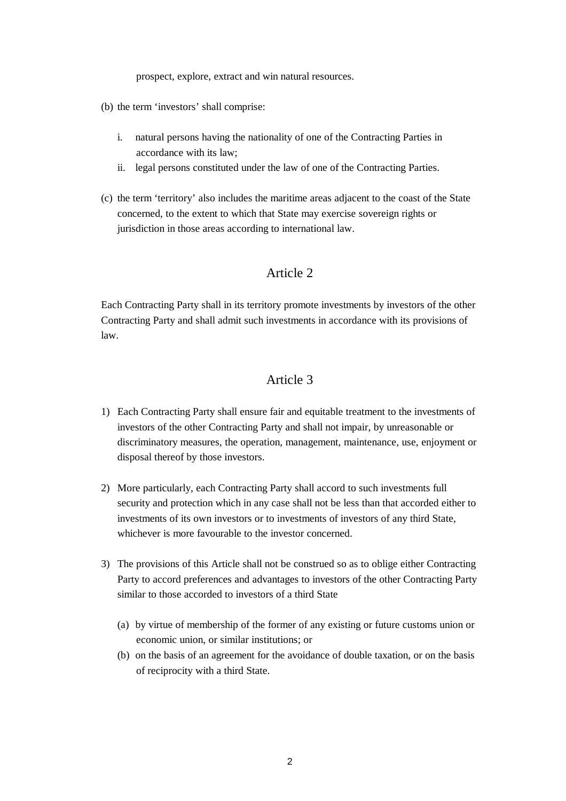prospect, explore, extract and win natural resources.

- (b) the term 'investors' shall comprise:
	- i. natural persons having the nationality of one of the Contracting Parties in accordance with its law;
	- ii. legal persons constituted under the law of one of the Contracting Parties.
- (c) the term 'territory' also includes the maritime areas adjacent to the coast of the State concerned, to the extent to which that State may exercise sovereign rights or jurisdiction in those areas according to international law.

## Article 2

Each Contracting Party shall in its territory promote investments by investors of the other Contracting Party and shall admit such investments in accordance with its provisions of law.

- 1) Each Contracting Party shall ensure fair and equitable treatment to the investments of investors of the other Contracting Party and shall not impair, by unreasonable or discriminatory measures, the operation, management, maintenance, use, enjoyment or disposal thereof by those investors.
- 2) More particularly, each Contracting Party shall accord to such investments full security and protection which in any case shall not be less than that accorded either to investments of its own investors or to investments of investors of any third State, whichever is more favourable to the investor concerned.
- 3) The provisions of this Article shall not be construed so as to oblige either Contracting Party to accord preferences and advantages to investors of the other Contracting Party similar to those accorded to investors of a third State
	- (a) by virtue of membership of the former of any existing or future customs union or economic union, or similar institutions; or
	- (b) on the basis of an agreement for the avoidance of double taxation, or on the basis of reciprocity with a third State.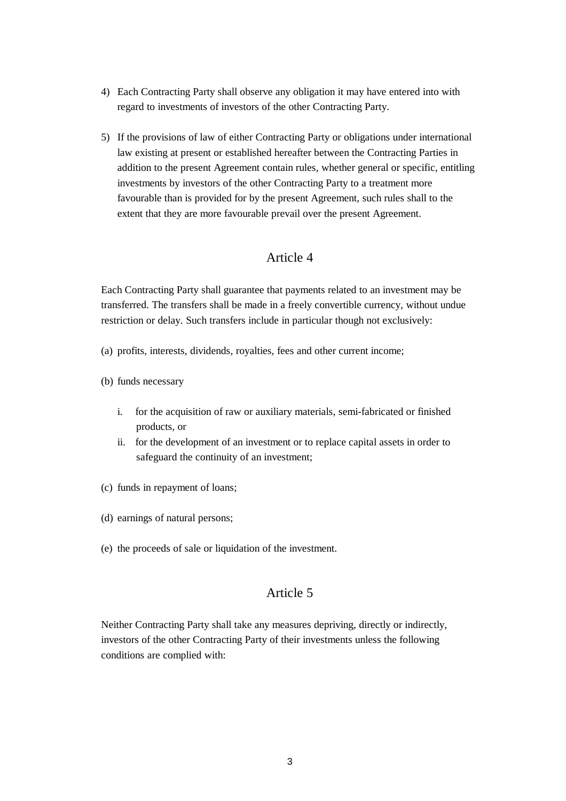- 4) Each Contracting Party shall observe any obligation it may have entered into with regard to investments of investors of the other Contracting Party.
- 5) If the provisions of law of either Contracting Party or obligations under international law existing at present or established hereafter between the Contracting Parties in addition to the present Agreement contain rules, whether general or specific, entitling investments by investors of the other Contracting Party to a treatment more favourable than is provided for by the present Agreement, such rules shall to the extent that they are more favourable prevail over the present Agreement.

Each Contracting Party shall guarantee that payments related to an investment may be transferred. The transfers shall be made in a freely convertible currency, without undue restriction or delay. Such transfers include in particular though not exclusively:

- (a) profits, interests, dividends, royalties, fees and other current income;
- (b) funds necessary
	- i. for the acquisition of raw or auxiliary materials, semi-fabricated or finished products, or
	- ii. for the development of an investment or to replace capital assets in order to safeguard the continuity of an investment;
- (c) funds in repayment of loans;
- (d) earnings of natural persons;
- (e) the proceeds of sale or liquidation of the investment.

# Article 5

Neither Contracting Party shall take any measures depriving, directly or indirectly, investors of the other Contracting Party of their investments unless the following conditions are complied with: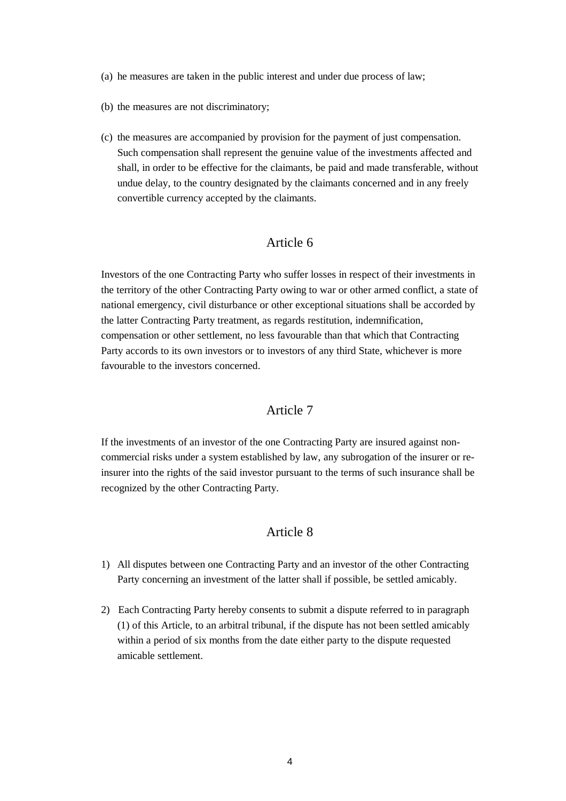- (a) he measures are taken in the public interest and under due process of law;
- (b) the measures are not discriminatory;
- (c) the measures are accompanied by provision for the payment of just compensation. Such compensation shall represent the genuine value of the investments affected and shall, in order to be effective for the claimants, be paid and made transferable, without undue delay, to the country designated by the claimants concerned and in any freely convertible currency accepted by the claimants.

Investors of the one Contracting Party who suffer losses in respect of their investments in the territory of the other Contracting Party owing to war or other armed conflict, a state of national emergency, civil disturbance or other exceptional situations shall be accorded by the latter Contracting Party treatment, as regards restitution, indemnification, compensation or other settlement, no less favourable than that which that Contracting Party accords to its own investors or to investors of any third State, whichever is more favourable to the investors concerned.

## Article 7

If the investments of an investor of the one Contracting Party are insured against noncommercial risks under a system established by law, any subrogation of the insurer or reinsurer into the rights of the said investor pursuant to the terms of such insurance shall be recognized by the other Contracting Party.

- 1) All disputes between one Contracting Party and an investor of the other Contracting Party concerning an investment of the latter shall if possible, be settled amicably.
- 2) Each Contracting Party hereby consents to submit a dispute referred to in paragraph (1) of this Article, to an arbitral tribunal, if the dispute has not been settled amicably within a period of six months from the date either party to the dispute requested amicable settlement.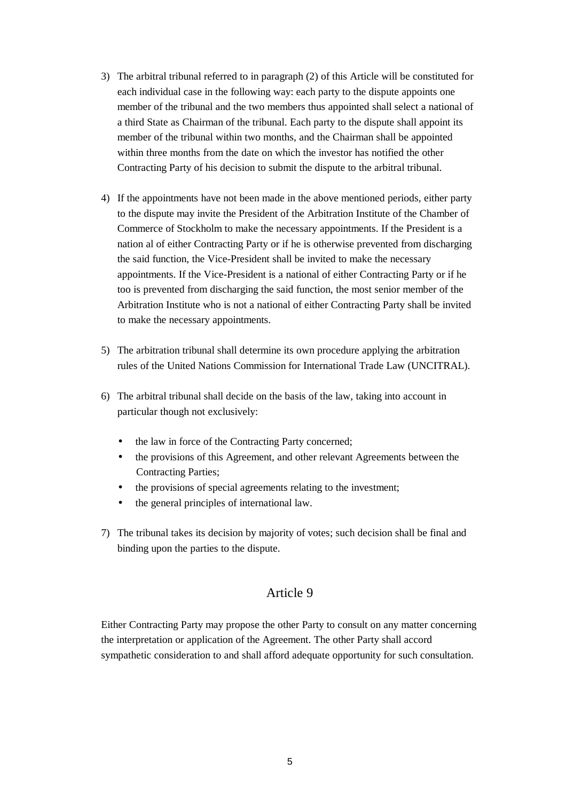- 3) The arbitral tribunal referred to in paragraph (2) of this Article will be constituted for each individual case in the following way: each party to the dispute appoints one member of the tribunal and the two members thus appointed shall select a national of a third State as Chairman of the tribunal. Each party to the dispute shall appoint its member of the tribunal within two months, and the Chairman shall be appointed within three months from the date on which the investor has notified the other Contracting Party of his decision to submit the dispute to the arbitral tribunal.
- 4) If the appointments have not been made in the above mentioned periods, either party to the dispute may invite the President of the Arbitration Institute of the Chamber of Commerce of Stockholm to make the necessary appointments. If the President is a nation al of either Contracting Party or if he is otherwise prevented from discharging the said function, the Vice-President shall be invited to make the necessary appointments. If the Vice-President is a national of either Contracting Party or if he too is prevented from discharging the said function, the most senior member of the Arbitration Institute who is not a national of either Contracting Party shall be invited to make the necessary appointments.
- 5) The arbitration tribunal shall determine its own procedure applying the arbitration rules of the United Nations Commission for International Trade Law (UNCITRAL).
- 6) The arbitral tribunal shall decide on the basis of the law, taking into account in particular though not exclusively:
	- the law in force of the Contracting Party concerned;
	- the provisions of this Agreement, and other relevant Agreements between the Contracting Parties;
	- the provisions of special agreements relating to the investment;
	- the general principles of international law.
- 7) The tribunal takes its decision by majority of votes; such decision shall be final and binding upon the parties to the dispute.

Either Contracting Party may propose the other Party to consult on any matter concerning the interpretation or application of the Agreement. The other Party shall accord sympathetic consideration to and shall afford adequate opportunity for such consultation.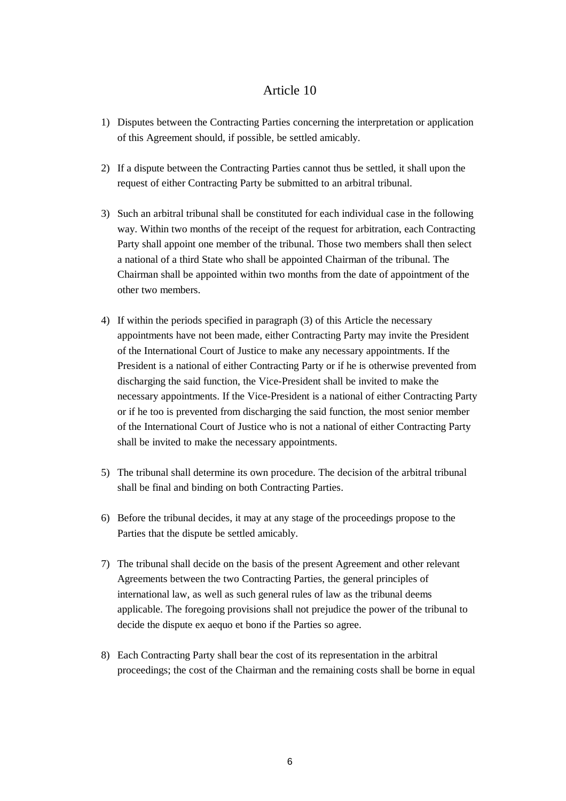- 1) Disputes between the Contracting Parties concerning the interpretation or application of this Agreement should, if possible, be settled amicably.
- 2) If a dispute between the Contracting Parties cannot thus be settled, it shall upon the request of either Contracting Party be submitted to an arbitral tribunal.
- 3) Such an arbitral tribunal shall be constituted for each individual case in the following way. Within two months of the receipt of the request for arbitration, each Contracting Party shall appoint one member of the tribunal. Those two members shall then select a national of a third State who shall be appointed Chairman of the tribunal. The Chairman shall be appointed within two months from the date of appointment of the other two members.
- 4) If within the periods specified in paragraph (3) of this Article the necessary appointments have not been made, either Contracting Party may invite the President of the International Court of Justice to make any necessary appointments. If the President is a national of either Contracting Party or if he is otherwise prevented from discharging the said function, the Vice-President shall be invited to make the necessary appointments. If the Vice-President is a national of either Contracting Party or if he too is prevented from discharging the said function, the most senior member of the International Court of Justice who is not a national of either Contracting Party shall be invited to make the necessary appointments.
- 5) The tribunal shall determine its own procedure. The decision of the arbitral tribunal shall be final and binding on both Contracting Parties.
- 6) Before the tribunal decides, it may at any stage of the proceedings propose to the Parties that the dispute be settled amicably.
- 7) The tribunal shall decide on the basis of the present Agreement and other relevant Agreements between the two Contracting Parties, the general principles of international law, as well as such general rules of law as the tribunal deems applicable. The foregoing provisions shall not prejudice the power of the tribunal to decide the dispute ex aequo et bono if the Parties so agree.
- 8) Each Contracting Party shall bear the cost of its representation in the arbitral proceedings; the cost of the Chairman and the remaining costs shall be borne in equal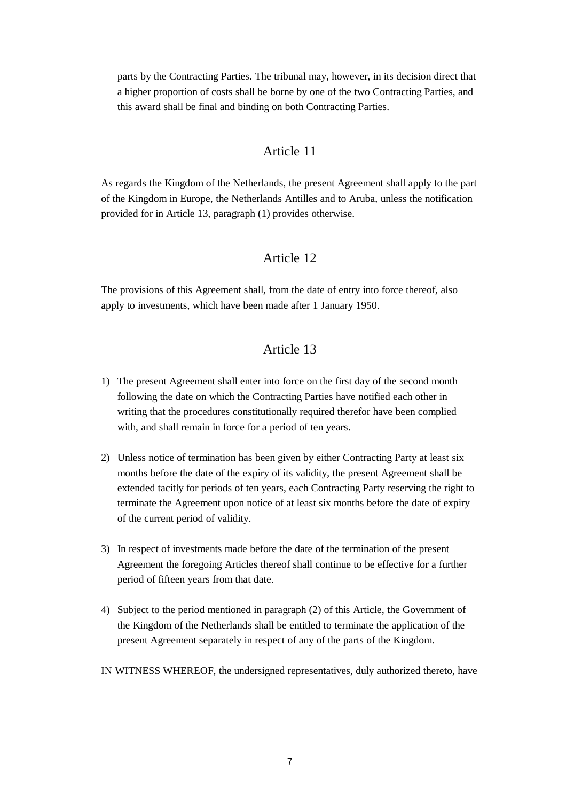parts by the Contracting Parties. The tribunal may, however, in its decision direct that a higher proportion of costs shall be borne by one of the two Contracting Parties, and this award shall be final and binding on both Contracting Parties.

#### Article 11

As regards the Kingdom of the Netherlands, the present Agreement shall apply to the part of the Kingdom in Europe, the Netherlands Antilles and to Aruba, unless the notification provided for in Article 13, paragraph (1) provides otherwise.

## Article 12

The provisions of this Agreement shall, from the date of entry into force thereof, also apply to investments, which have been made after 1 January 1950.

- 1) The present Agreement shall enter into force on the first day of the second month following the date on which the Contracting Parties have notified each other in writing that the procedures constitutionally required therefor have been complied with, and shall remain in force for a period of ten years.
- 2) Unless notice of termination has been given by either Contracting Party at least six months before the date of the expiry of its validity, the present Agreement shall be extended tacitly for periods of ten years, each Contracting Party reserving the right to terminate the Agreement upon notice of at least six months before the date of expiry of the current period of validity.
- 3) In respect of investments made before the date of the termination of the present Agreement the foregoing Articles thereof shall continue to be effective for a further period of fifteen years from that date.
- 4) Subject to the period mentioned in paragraph (2) of this Article, the Government of the Kingdom of the Netherlands shall be entitled to terminate the application of the present Agreement separately in respect of any of the parts of the Kingdom.
- IN WITNESS WHEREOF, the undersigned representatives, duly authorized thereto, have